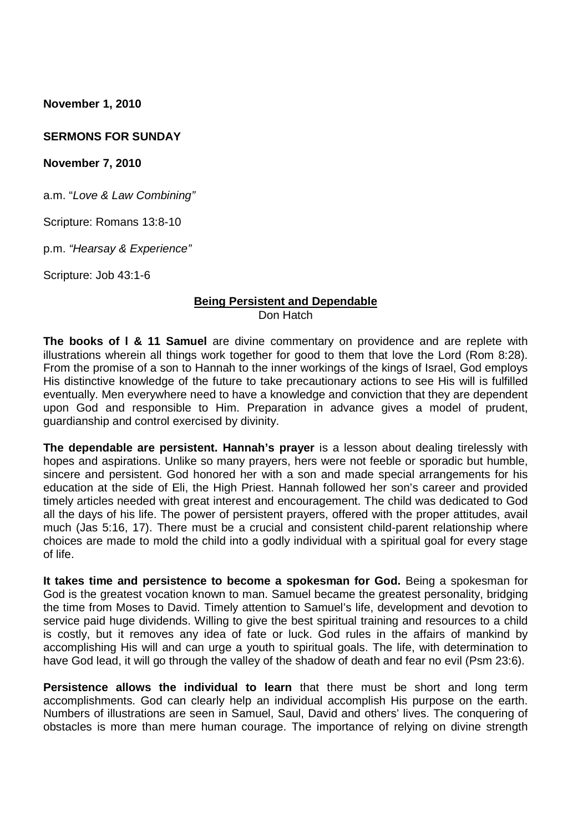**November 1, 2010**

#### **SERMONS FOR SUNDAY**

**November 7, 2010**

a.m. "*Love & Law Combining"*

Scripture: Romans 13:8-10

p.m. *"Hearsay & Experience"*

Scripture: Job 43:1-6

#### **Being Persistent and Dependable** Don Hatch

**The books of l & 11 Samuel** are divine commentary on providence and are replete with illustrations wherein all things work together for good to them that love the Lord (Rom 8:28). From the promise of a son to Hannah to the inner workings of the kings of Israel, God employs His distinctive knowledge of the future to take precautionary actions to see His will is fulfilled eventually. Men everywhere need to have a knowledge and conviction that they are dependent upon God and responsible to Him. Preparation in advance gives a model of prudent, guardianship and control exercised by divinity.

**The dependable are persistent. Hannah's prayer** is a lesson about dealing tirelessly with hopes and aspirations. Unlike so many prayers, hers were not feeble or sporadic but humble, sincere and persistent. God honored her with a son and made special arrangements for his education at the side of Eli, the High Priest. Hannah followed her son's career and provided timely articles needed with great interest and encouragement. The child was dedicated to God all the days of his life. The power of persistent prayers, offered with the proper attitudes, avail much (Jas 5:16, 17). There must be a crucial and consistent child-parent relationship where choices are made to mold the child into a godly individual with a spiritual goal for every stage of life.

**It takes time and persistence to become a spokesman for God.** Being a spokesman for God is the greatest vocation known to man. Samuel became the greatest personality, bridging the time from Moses to David. Timely attention to Samuel's life, development and devotion to service paid huge dividends. Willing to give the best spiritual training and resources to a child is costly, but it removes any idea of fate or luck. God rules in the affairs of mankind by accomplishing His will and can urge a youth to spiritual goals. The life, with determination to have God lead, it will go through the valley of the shadow of death and fear no evil (Psm 23:6).

**Persistence allows the individual to learn** that there must be short and long term accomplishments. God can clearly help an individual accomplish His purpose on the earth. Numbers of illustrations are seen in Samuel, Saul, David and others' lives. The conquering of obstacles is more than mere human courage. The importance of relying on divine strength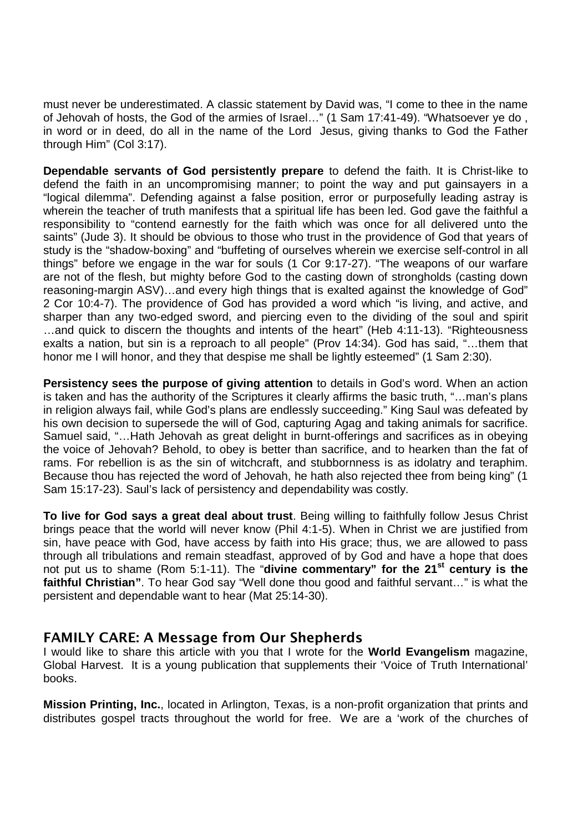must never be underestimated. A classic statement by David was, "I come to thee in the name of Jehovah of hosts, the God of the armies of Israel…" (1 Sam 17:41-49). "Whatsoever ye do , in word or in deed, do all in the name of the Lord Jesus, giving thanks to God the Father through Him" (Col 3:17).

**Dependable servants of God persistently prepare** to defend the faith. It is Christ-like to defend the faith in an uncompromising manner; to point the way and put gainsayers in a "logical dilemma". Defending against a false position, error or purposefully leading astray is wherein the teacher of truth manifests that a spiritual life has been led. God gave the faithful a responsibility to "contend earnestly for the faith which was once for all delivered unto the saints" (Jude 3). It should be obvious to those who trust in the providence of God that years of study is the "shadow-boxing" and "buffeting of ourselves wherein we exercise self-control in all things" before we engage in the war for souls (1 Cor 9:17-27). "The weapons of our warfare are not of the flesh, but mighty before God to the casting down of strongholds (casting down reasoning-margin ASV)…and every high things that is exalted against the knowledge of God" 2 Cor 10:4-7). The providence of God has provided a word which "is living, and active, and sharper than any two-edged sword, and piercing even to the dividing of the soul and spirit …and quick to discern the thoughts and intents of the heart" (Heb 4:11-13). "Righteousness exalts a nation, but sin is a reproach to all people" (Prov 14:34). God has said, "…them that honor me I will honor, and they that despise me shall be lightly esteemed" (1 Sam 2:30).

**Persistency sees the purpose of giving attention** to details in God's word. When an action is taken and has the authority of the Scriptures it clearly affirms the basic truth, "…man's plans in religion always fail, while God's plans are endlessly succeeding." King Saul was defeated by his own decision to supersede the will of God, capturing Agag and taking animals for sacrifice. Samuel said, "…Hath Jehovah as great delight in burnt-offerings and sacrifices as in obeying the voice of Jehovah? Behold, to obey is better than sacrifice, and to hearken than the fat of rams. For rebellion is as the sin of witchcraft, and stubbornness is as idolatry and teraphim. Because thou has rejected the word of Jehovah, he hath also rejected thee from being king" (1 Sam 15:17-23). Saul's lack of persistency and dependability was costly.

**To live for God says a great deal about trust**. Being willing to faithfully follow Jesus Christ brings peace that the world will never know (Phil 4:1-5). When in Christ we are justified from sin, have peace with God, have access by faith into His grace; thus, we are allowed to pass through all tribulations and remain steadfast, approved of by God and have a hope that does not put us to shame (Rom 5:1-11). The "**divine commentary" for the 21st century is the faithful Christian"**. To hear God say "Well done thou good and faithful servant…" is what the persistent and dependable want to hear (Mat 25:14-30).

### **FAMILY CARE: A Message from Our Shepherds**

I would like to share this article with you that I wrote for the **World Evangelism** magazine, Global Harvest. It is a young publication that supplements their 'Voice of Truth International' books.

**Mission Printing, Inc.**, located in Arlington, Texas, is a non-profit organization that prints and distributes gospel tracts throughout the world for free. We are a 'work of the churches of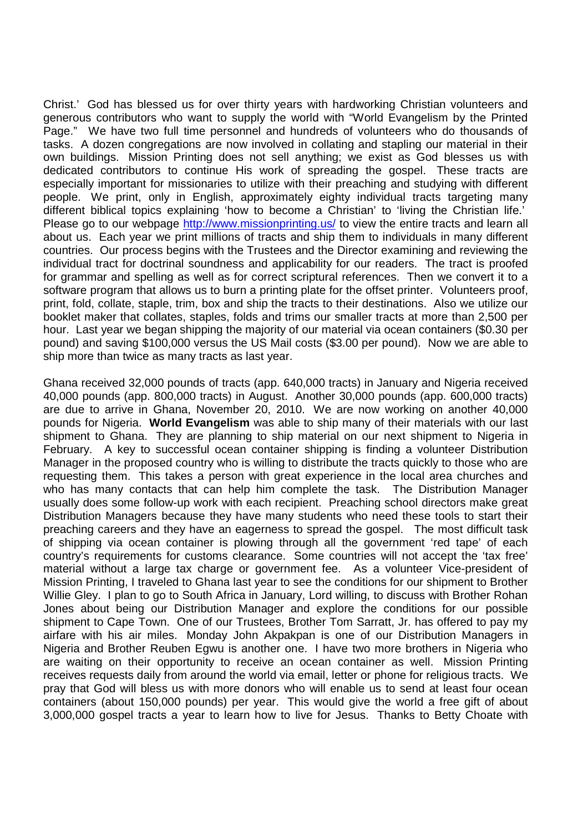Christ.' God has blessed us for over thirty years with hardworking Christian volunteers and generous contributors who want to supply the world with "World Evangelism by the Printed Page." We have two full time personnel and hundreds of volunteers who do thousands of tasks. A dozen congregations are now involved in collating and stapling our material in their own buildings. Mission Printing does not sell anything; we exist as God blesses us with dedicated contributors to continue His work of spreading the gospel. These tracts are especially important for missionaries to utilize with their preaching and studying with different people. We print, only in English, approximately eighty individual tracts targeting many different biblical topics explaining 'how to become a Christian' to 'living the Christian life.' Please go to our webpage http://www.missionprinting.us/ to view the entire tracts and learn all about us. Each year we print millions of tracts and ship them to individuals in many different countries. Our process begins with the Trustees and the Director examining and reviewing the individual tract for doctrinal soundness and applicability for our readers. The tract is proofed for grammar and spelling as well as for correct scriptural references. Then we convert it to a software program that allows us to burn a printing plate for the offset printer. Volunteers proof, print, fold, collate, staple, trim, box and ship the tracts to their destinations. Also we utilize our booklet maker that collates, staples, folds and trims our smaller tracts at more than 2,500 per hour. Last year we began shipping the majority of our material via ocean containers (\$0.30 per pound) and saving \$100,000 versus the US Mail costs (\$3.00 per pound). Now we are able to ship more than twice as many tracts as last year.

Ghana received 32,000 pounds of tracts (app. 640,000 tracts) in January and Nigeria received 40,000 pounds (app. 800,000 tracts) in August. Another 30,000 pounds (app. 600,000 tracts) are due to arrive in Ghana, November 20, 2010. We are now working on another 40,000 pounds for Nigeria. **World Evangelism** was able to ship many of their materials with our last shipment to Ghana. They are planning to ship material on our next shipment to Nigeria in February. A key to successful ocean container shipping is finding a volunteer Distribution Manager in the proposed country who is willing to distribute the tracts quickly to those who are requesting them. This takes a person with great experience in the local area churches and who has many contacts that can help him complete the task. The Distribution Manager usually does some follow-up work with each recipient. Preaching school directors make great Distribution Managers because they have many students who need these tools to start their preaching careers and they have an eagerness to spread the gospel. The most difficult task of shipping via ocean container is plowing through all the government 'red tape' of each country's requirements for customs clearance. Some countries will not accept the 'tax free' material without a large tax charge or government fee. As a volunteer Vice-president of Mission Printing, I traveled to Ghana last year to see the conditions for our shipment to Brother Willie Gley. I plan to go to South Africa in January, Lord willing, to discuss with Brother Rohan Jones about being our Distribution Manager and explore the conditions for our possible shipment to Cape Town. One of our Trustees, Brother Tom Sarratt, Jr. has offered to pay my airfare with his air miles. Monday John Akpakpan is one of our Distribution Managers in Nigeria and Brother Reuben Egwu is another one. I have two more brothers in Nigeria who are waiting on their opportunity to receive an ocean container as well. Mission Printing receives requests daily from around the world via email, letter or phone for religious tracts. We pray that God will bless us with more donors who will enable us to send at least four ocean containers (about 150,000 pounds) per year. This would give the world a free gift of about 3,000,000 gospel tracts a year to learn how to live for Jesus. Thanks to Betty Choate with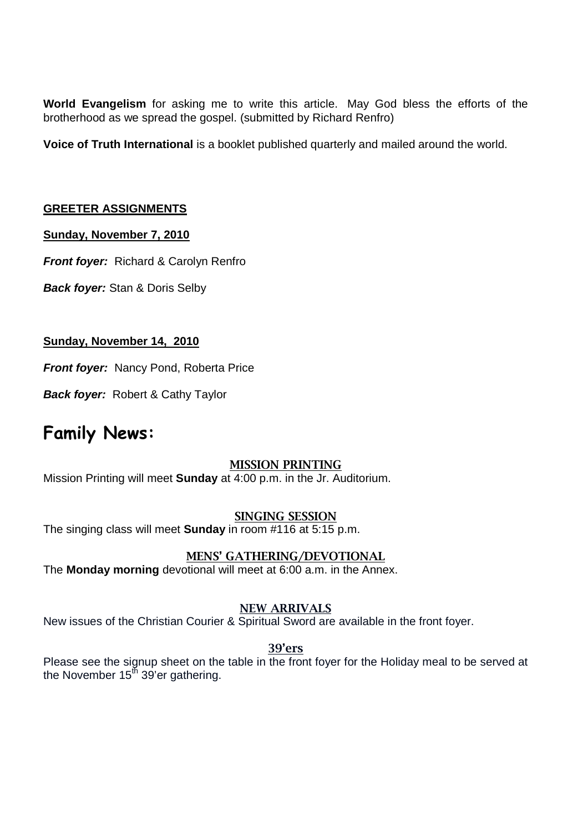**World Evangelism** for asking me to write this article. May God bless the efforts of the brotherhood as we spread the gospel. (submitted by Richard Renfro)

**Voice of Truth International** is a booklet published quarterly and mailed around the world.

#### **GREETER ASSIGNMENTS**

#### **Sunday, November 7, 2010**

*Front foyer:* Richard & Carolyn Renfro

*Back foyer:* Stan & Doris Selby

#### **Sunday, November 14, 2010**

*Front foyer:* Nancy Pond, Roberta Price

*Back foyer:* Robert & Cathy Taylor

## **Family News:**

### **MISSION PRINTING**

Mission Printing will meet **Sunday** at 4:00 p.m. in the Jr. Auditorium.

#### **SINGING SESSION**

The singing class will meet **Sunday** in room #116 at 5:15 p.m.

#### **MENS' GATHERING/DEVOTIONAL**

The **Monday morning** devotional will meet at 6:00 a.m. in the Annex.

#### **NEW ARRIVALS**

New issues of the Christian Courier & Spiritual Sword are available in the front foyer.

#### **39'ers**

Please see the signup sheet on the table in the front foyer for the Holiday meal to be served at the November  $15<sup>th</sup>$  39'er gathering.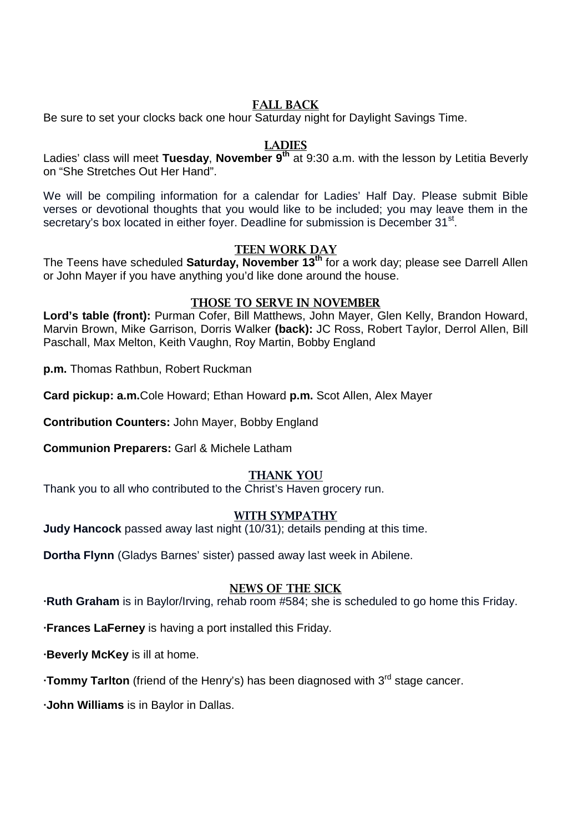#### **FALL BACK**

Be sure to set your clocks back one hour Saturday night for Daylight Savings Time.

#### **LADIES**

Ladies' class will meet **Tuesday**, **November 9th** at 9:30 a.m. with the lesson by Letitia Beverly on "She Stretches Out Her Hand".

We will be compiling information for a calendar for Ladies' Half Day. Please submit Bible verses or devotional thoughts that you would like to be included; you may leave them in the secretary's box located in either foyer. Deadline for submission is December 31<sup>st</sup>.

#### **TEEN WORK DAY**

The Teens have scheduled **Saturday, November 13th** for a work day; please see Darrell Allen or John Mayer if you have anything you'd like done around the house.

#### **THOSE TO SERVE IN NOVEMBER**

**Lord's table (front):** Purman Cofer, Bill Matthews, John Mayer, Glen Kelly, Brandon Howard, Marvin Brown, Mike Garrison, Dorris Walker **(back):** JC Ross, Robert Taylor, Derrol Allen, Bill Paschall, Max Melton, Keith Vaughn, Roy Martin, Bobby England

**p.m.** Thomas Rathbun, Robert Ruckman

**Card pickup: a.m.**Cole Howard; Ethan Howard **p.m.** Scot Allen, Alex Mayer

**Contribution Counters:** John Mayer, Bobby England

**Communion Preparers:** Garl & Michele Latham

#### **THANK YOU**

Thank you to all who contributed to the Christ's Haven grocery run.

#### **WITH SYMPATHY**

**Judy Hancock** passed away last night (10/31); details pending at this time.

**Dortha Flynn** (Gladys Barnes' sister) passed away last week in Abilene.

#### **NEWS OF THE SICK**

**∙Ruth Graham** is in Baylor/Irving, rehab room #584; she is scheduled to go home this Friday.

**∙Frances LaFerney** is having a port installed this Friday.

**∙Beverly McKey** is ill at home.

**•Tommy Tarlton** (friend of the Henry's) has been diagnosed with 3<sup>rd</sup> stage cancer.

**∙John Williams** is in Baylor in Dallas.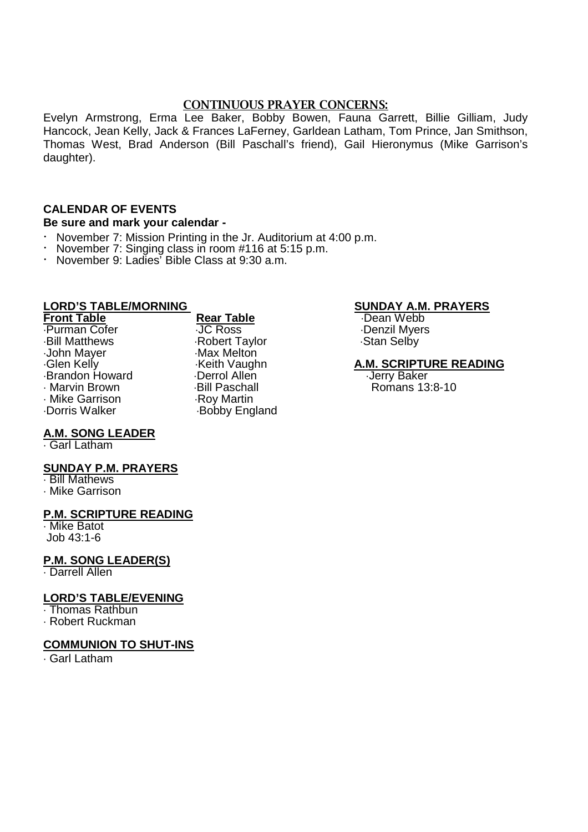#### **CONTINUOUS PRAYER CONCERNS:**

Evelyn Armstrong, Erma Lee Baker, Bobby Bowen, Fauna Garrett, Billie Gilliam, Judy Hancock, Jean Kelly, Jack & Frances LaFerney, Garldean Latham, Tom Prince, Jan Smithson, Thomas West, Brad Anderson (Bill Paschall's friend), Gail Hieronymus (Mike Garrison's daughter).

#### **CALENDAR OF EVENTS**

#### **Be sure and mark your calendar -**

- November 7: Mission Printing in the Jr. Auditorium at 4:00 p.m.<br>• November 7: Singing class in room #116 at 5:15 p.m.
- November 7: Singing class in room #116 at 5:15 p.m.
- · November 9: Ladies' Bible Class at 9:30 a.m.

- Purman Cofer **JC Ross** JUNE CORPS BEEN BRIEF OF THE PURSIL Myers Below<br>Bill Matthews Below Robert Taylor Construction Stan Selby John Mayer Max Melton<br>Glen Kelly Mayer Musikeith Vaughn Glen Kelly Brandon Howard **Derrol Allen**<br>- Marvin Brown **Baker Baker Baker** Bill Paschall Mike Garrison .<br>Dorris Walker
	- Robert Taylor Bill Paschall **Brown Brown Brown Brown Brown Brown Brown Brown Brown Brown Brown Brown Brown Brown Brown Brown B**<br>Roy Martin Bobby England

## **LORD'S TABLE/MORNING**<br> **Rear Table Street Boot Boot Boot BEAM. PRAYERS**<br> **SUNDAY A.M. PRAYERS**

**Front Webb**<br>**Produce** Denzil Myers

# Keith Vaughn **A.M. SCRIPTURE READING**<br>
Derrol Allen **Carlo Andrew Control Allen**

#### **A.M. SONG LEADER**

Garl Latham

#### **SUNDAY P.M. PRAYERS**

 Bill Mathews Mike Garrison

#### **P.M. SCRIPTURE READING**

 Mike Batot Job 43:1-6

#### **P.M. SONG LEADER(S)**

Darrell Allen

#### **LORD'S TABLE/EVENING**

Thomas Rathbun

Robert Ruckman

#### **COMMUNION TO SHUT-INS**

Garl Latham